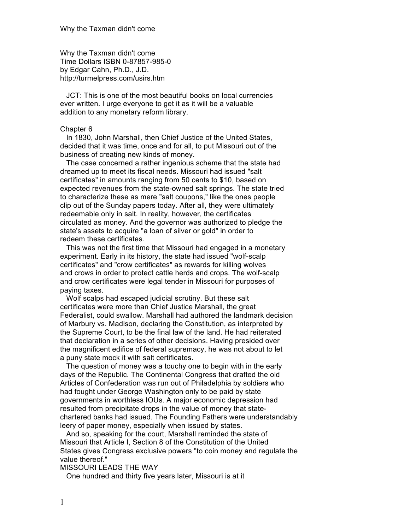Why the Taxman didn't come Time Dollars ISBN 0-87857-985-0 by Edgar Cahn, Ph.D., J.D. http://turmelpress.com/usirs.htm

JCT: This is one of the most beautiful books on local currencies ever written. I urge everyone to get it as it will be a valuable addition to any monetary reform library.

#### Chapter 6

In 1830, John Marshall, then Chief Justice of the United States, decided that it was time, once and for all, to put Missouri out of the business of creating new kinds of money.

The case concerned a rather ingenious scheme that the state had dreamed up to meet its fiscal needs. Missouri had issued "salt certificates" in amounts ranging from 50 cents to \$10, based on expected revenues from the state-owned salt springs. The state tried to characterize these as mere "salt coupons," like the ones people clip out of the Sunday papers today. After all, they were ultimately redeemable only in salt. In reality, however, the certificates circulated as money. And the governor was authorized to pledge the state's assets to acquire "a loan of silver or gold" in order to redeem these certificates.

This was not the first time that Missouri had engaged in a monetary experiment. Early in its history, the state had issued "wolf-scalp certificates" and "crow certificates" as rewards for killing wolves and crows in order to protect cattle herds and crops. The wolf-scalp and crow certificates were legal tender in Missouri for purposes of paying taxes.

Wolf scalps had escaped judicial scrutiny. But these salt certificates were more than Chief Justice Marshall, the great Federalist, could swallow. Marshall had authored the landmark decision of Marbury vs. Madison, declaring the Constitution, as interpreted by the Supreme Court, to be the final law of the land. He had reiterated that declaration in a series of other decisions. Having presided over the magnificent edifice of federal supremacy, he was not about to let a puny state mock it with salt certificates.

The question of money was a touchy one to begin with in the early days of the Republic. The Continental Congress that drafted the old Articles of Confederation was run out of Philadelphia by soldiers who had fought under George Washington only to be paid by state governments in worthless IOUs. A major economic depression had resulted from precipitate drops in the value of money that statechartered banks had issued. The Founding Fathers were understandably leery of paper money, especially when issued by states.

And so, speaking for the court, Marshall reminded the state of Missouri that Article I, Section 8 of the Constitution of the United States gives Congress exclusive powers "to coin money and regulate the value thereof."

# MISSOURI LEADS THE WAY

One hundred and thirty five years later, Missouri is at it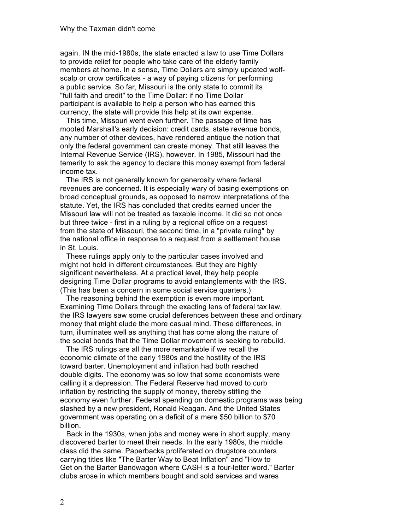again. IN the mid-1980s, the state enacted a law to use Time Dollars to provide relief for people who take care of the elderly family members at home. In a sense, Time Dollars are simply updated wolfscalp or crow certificates - a way of paying citizens for performing a public service. So far, Missouri is the only state to commit its "full faith and credit" to the Time Dollar: if no Time Dollar participant is available to help a person who has earned this currency, the state will provide this help at its own expense.

This time, Missouri went even further. The passage of time has mooted Marshall's early decision: credit cards, state revenue bonds, any number of other devices, have rendered antique the notion that only the federal government can create money. That still leaves the Internal Revenue Service (IRS), however. In 1985, Missouri had the temerity to ask the agency to declare this money exempt from federal income tax.

The IRS is not generally known for generosity where federal revenues are concerned. It is especially wary of basing exemptions on broad conceptual grounds, as opposed to narrow interpretations of the statute. Yet, the IRS has concluded that credits earned under the Missouri law will not be treated as taxable income. It did so not once but three twice - first in a ruling by a regional office on a request from the state of Missouri, the second time, in a "private ruling" by the national office in response to a request from a settlement house in St. Louis.

These rulings apply only to the particular cases involved and might not hold in different circumstances. But they are highly significant nevertheless. At a practical level, they help people designing Time Dollar programs to avoid entanglements with the IRS. (This has been a concern in some social service quarters.)

The reasoning behind the exemption is even more important. Examining Time Dollars through the exacting lens of federal tax law, the IRS lawyers saw some crucial deferences between these and ordinary money that might elude the more casual mind. These differences, in turn, illuminates well as anything that has come along the nature of the social bonds that the Time Dollar movement is seeking to rebuild.

The IRS rulings are all the more remarkable if we recall the economic climate of the early 1980s and the hostility of the IRS toward barter. Unemployment and inflation had both reached double digits. The economy was so low that some economists were calling it a depression. The Federal Reserve had moved to curb inflation by restricting the supply of money, thereby stifling the economy even further. Federal spending on domestic programs was being slashed by a new president, Ronald Reagan. And the United States government was operating on a deficit of a mere \$50 billion to \$70 billion.

Back in the 1930s, when jobs and money were in short supply, many discovered barter to meet their needs. In the early 1980s, the middle class did the same. Paperbacks proliferated on drugstore counters carrying titles like "The Barter Way to Beat Inflation" and "How to Get on the Barter Bandwagon where CASH is a four-letter word." Barter clubs arose in which members bought and sold services and wares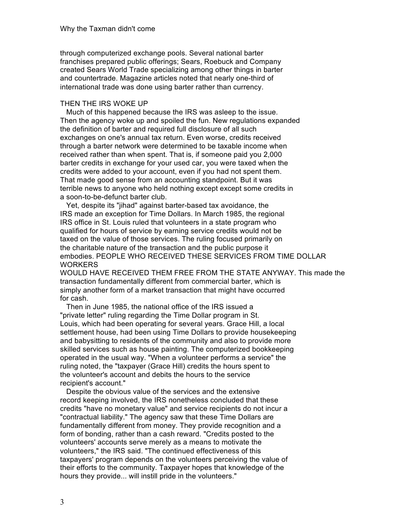through computerized exchange pools. Several national barter franchises prepared public offerings; Sears, Roebuck and Company created Sears World Trade specializing among other things in barter and countertrade. Magazine articles noted that nearly one-third of international trade was done using barter rather than currency.

### THEN THE IRS WOKE UP

Much of this happened because the IRS was asleep to the issue. Then the agency woke up and spoiled the fun. New regulations expanded the definition of barter and required full disclosure of all such exchanges on one's annual tax return. Even worse, credits received through a barter network were determined to be taxable income when received rather than when spent. That is, if someone paid you 2,000 barter credits in exchange for your used car, you were taxed when the credits were added to your account, even if you had not spent them. That made good sense from an accounting standpoint. But it was terrible news to anyone who held nothing except except some credits in a soon-to-be-defunct barter club.

Yet, despite its "jihad" against barter-based tax avoidance, the IRS made an exception for Time Dollars. In March 1985, the regional IRS office in St. Louis ruled that volunteers in a state program who qualified for hours of service by earning service credits would not be taxed on the value of those services. The ruling focused primarily on the charitable nature of the transaction and the public purpose it embodies. PEOPLE WHO RECEIVED THESE SERVICES FROM TIME DOLLAR **WORKERS** 

WOULD HAVE RECEIVED THEM FREE FROM THE STATE ANYWAY. This made the transaction fundamentally different from commercial barter, which is simply another form of a market transaction that might have occurred for cash.

Then in June 1985, the national office of the IRS issued a "private letter" ruling regarding the Time Dollar program in St. Louis, which had been operating for several years. Grace Hill, a local settlement house, had been using Time Dollars to provide housekeeping and babysitting to residents of the community and also to provide more skilled services such as house painting. The computerized bookkeeping operated in the usual way. "When a volunteer performs a service" the ruling noted, the "taxpayer (Grace Hill) credits the hours spent to the volunteer's account and debits the hours to the service recipient's account."

Despite the obvious value of the services and the extensive record keeping involved, the IRS nonetheless concluded that these credits "have no monetary value" and service recipients do not incur a "contractual liability." The agency saw that these Time Dollars are fundamentally different from money. They provide recognition and a form of bonding, rather than a cash reward. "Credits posted to the volunteers' accounts serve merely as a means to motivate the volunteers," the IRS said. "The continued effectiveness of this taxpayers' program depends on the volunteers perceiving the value of their efforts to the community. Taxpayer hopes that knowledge of the hours they provide... will instill pride in the volunteers."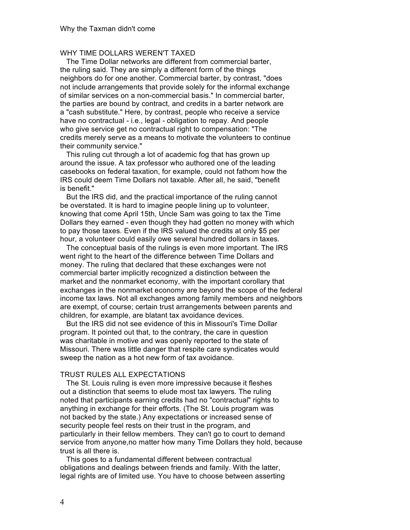## WHY TIME DOLLARS WEREN'T TAXED

The Time Dollar networks are different from commercial barter, the ruling said. They are simply a different form of the things neighbors do for one another. Commercial barter, by contrast, "does not include arrangements that provide solely for the informal exchange of similar services on a non-commercial basis." In commercial barter, the parties are bound by contract, and credits in a barter network are a "cash substitute." Here, by contrast, people who receive a service have no contractual - i.e., legal - obligation to repay. And people who give service get no contractual right to compensation: "The credits merely serve as a means to motivate the volunteers to continue their community service."

This ruling cut through a lot of academic fog that has grown up around the issue. A tax professor who authored one of the leading casebooks on federal taxation, for example, could not fathom how the IRS could deem Time Dollars not taxable. After all, he said, "benefit is benefit."

But the IRS did, and the practical importance of the ruling cannot be overstated. It is hard to imagine people lining up to volunteer, knowing that come April 15th, Uncle Sam was going to tax the Time Dollars they earned - even though they had gotten no money with which to pay those taxes. Even if the IRS valued the credits at only \$5 per hour, a volunteer could easily owe several hundred dollars in taxes.

The conceptual basis of the rulings is even more important. The IRS went right to the heart of the difference between Time Dollars and money. The ruling that declared that these exchanges were not commercial barter implicitly recognized a distinction between the market and the nonmarket economy, with the important corollary that exchanges in the nonmarket economy are beyond the scope of the federal income tax laws. Not all exchanges among family members and neighbors are exempt, of course; certain trust arrangements between parents and children, for example, are blatant tax avoidance devices.

But the IRS did not see evidence of this in Missouri's Time Dollar program. It pointed out that, to the contrary, the care in question was charitable in motive and was openly reported to the state of Missouri. There was little danger that respite care syndicates would sweep the nation as a hot new form of tax avoidance.

### TRUST RULES ALL EXPECTATIONS

The St. Louis ruling is even more impressive because it fleshes out a distinction that seems to elude most tax lawyers. The ruling noted that participants earning credits had no "contractual" rights to anything in exchange for their efforts. (The St. Louis program was not backed by the state.) Any expectations or increased sense of security people feel rests on their trust in the program, and particularly in their fellow members. They can't go to court to demand service from anyone,no matter how many Time Dollars they hold, because trust is all there is.

This goes to a fundamental different between contractual obligations and dealings between friends and family. With the latter, legal rights are of limited use. You have to choose between asserting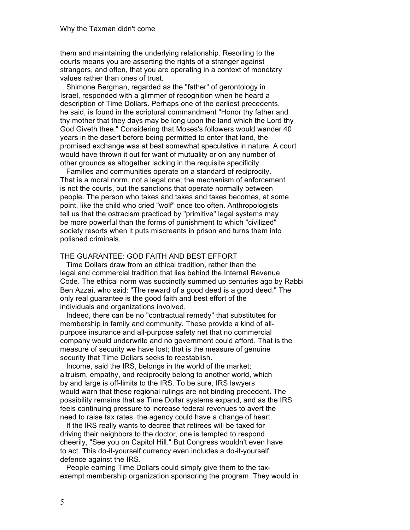them and maintaining the underlying relationship. Resorting to the courts means you are asserting the rights of a stranger against strangers, and often, that you are operating in a context of monetary values rather than ones of trust.

Shimone Bergman, regarded as the "father" of gerontology in Israel, responded with a glimmer of recognition when he heard a description of Time Dollars. Perhaps one of the earliest precedents, he said, is found in the scriptural commandment "Honor thy father and thy mother that they days may be long upon the land which the Lord thy God Giveth thee." Considering that Moses's followers would wander 40 years in the desert before being permitted to enter that land, the promised exchange was at best somewhat speculative in nature. A court would have thrown it out for want of mutuality or on any number of other grounds as altogether lacking in the requisite specificity.

Families and communities operate on a standard of reciprocity. That is a moral norm, not a legal one; the mechanism of enforcement is not the courts, but the sanctions that operate normally between people. The person who takes and takes and takes becomes, at some point, like the child who cried "wolf" once too often. Anthropologists tell us that the ostracism practiced by "primitive" legal systems may be more powerful than the forms of punishment to which "civilized" society resorts when it puts miscreants in prison and turns them into polished criminals.

### THE GUARANTEE: GOD FAITH AND BEST EFFORT

Time Dollars draw from an ethical tradition, rather than the legal and commercial tradition that lies behind the Internal Revenue Code. The ethical norm was succinctly summed up centuries ago by Rabbi Ben Azzai, who said: "The reward of a good deed is a good deed." The only real guarantee is the good faith and best effort of the individuals and organizations involved.

Indeed, there can be no "contractual remedy" that substitutes for membership in family and community. These provide a kind of allpurpose insurance and all-purpose safety net that no commercial company would underwrite and no government could afford. That is the measure of security we have lost; that is the measure of genuine security that Time Dollars seeks to reestablish.

Income, said the IRS, belongs in the world of the market; altruism, empathy, and reciprocity belong to another world, which by and large is off-limits to the IRS. To be sure, IRS lawyers would warn that these regional rulings are not binding precedent. The possibility remains that as Time Dollar systems expand, and as the IRS feels continuing pressure to increase federal revenues to avert the need to raise tax rates, the agency could have a change of heart.

If the IRS really wants to decree that retirees will be taxed for driving their neighbors to the doctor, one is tempted to respond cheerily, "See you on Capitol Hill." But Congress wouldn't even have to act. This do-it-yourself currency even includes a do-it-yourself defence against the IRS.

People earning Time Dollars could simply give them to the taxexempt membership organization sponsoring the program. They would in